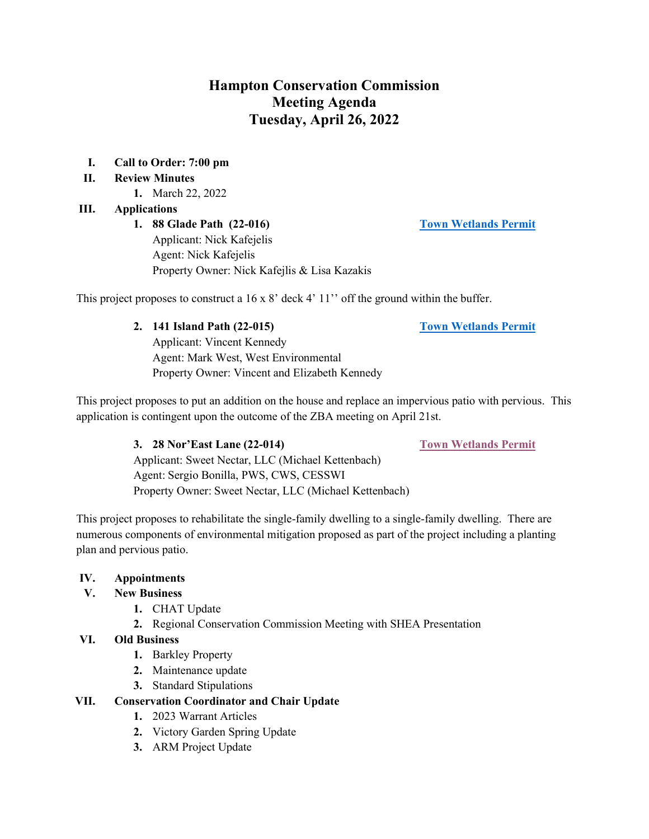# **Hampton Conservation Commission Meeting Agenda Tuesday, April 26, 2022**

## **I. Call to Order: 7:00 pm**

## **II. Review Minutes**

**1.** March 22, 2022

## **III. Applications**

**1. 88 Glade Path (22-016) [Town Wetlands Permit](https://www.hamptonnh.gov/DocumentCenter/View/5220/88-glade-path-town-wetlands-permit-2022)** Applicant: Nick Kafejelis Agent: Nick Kafejelis Property Owner: Nick Kafejlis & Lisa Kazakis

This project proposes to construct a 16 x 8' deck 4' 11'' off the ground within the buffer.

# **2. 141 Island Path (22-015) [Town Wetlands Permit](https://www.hamptonnh.gov/DocumentCenter/View/5237/141-island-path-town-wetlands-permit-2022)**

Applicant: Vincent Kennedy Agent: Mark West, West Environmental Property Owner: Vincent and Elizabeth Kennedy

This project proposes to put an addition on the house and replace an impervious patio with pervious. This application is contingent upon the outcome of the ZBA meeting on April 21st.

#### **3. 28 Nor'East Lane (22-014) [Town Wetlands Permit](https://www.hamptonnh.gov/DocumentCenter/View/5240/28-noreast-Town-Wetland-Permit-Application-2022)**

Applicant: Sweet Nectar, LLC (Michael Kettenbach) Agent: Sergio Bonilla, PWS, CWS, CESSWI Property Owner: Sweet Nectar, LLC (Michael Kettenbach)

This project proposes to rehabilitate the single-family dwelling to a single-family dwelling. There are numerous components of environmental mitigation proposed as part of the project including a planting plan and pervious patio.

#### **IV. Appointments**

#### **V. New Business**

- **1.** CHAT Update
- **2.** Regional Conservation Commission Meeting with SHEA Presentation

#### **VI. Old Business**

- **1.** Barkley Property
- **2.** Maintenance update
- **3.** Standard Stipulations

#### **VII. Conservation Coordinator and Chair Update**

- **1.** 2023 Warrant Articles
- **2.** Victory Garden Spring Update
- **3.** ARM Project Update